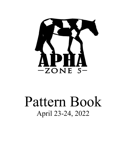

# Pattern Book April 23-24, 2022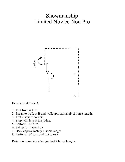# Showmanship Limited Novice Non Pro



Be Ready at Cone A

- 1. Trot from A to B.
- 2. Break to walk at B and walk approximately 2 horse lengths
- 3. Trot 2 square corners
- 4. Stop with Hip at the judge.
- 5. Perform 180 turn.
- 6. Set up for Inspection
- 7. Back approximately 1 horse length
- 8. Perform 180 turn and trot to exit

Pattern is complete after you trot 2 horse lengths.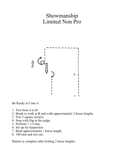# Showmanship Limited Non Pro



Be Ready at Cone A

- 1. Trot from A to B.
- 2. Break to walk at B and walk approximately 2 horse lengths
- 3. Trot 2 square corners.
- 4. Stop with Hip at the judge.
- 5. Perform 1 1/2 turn.
- 6. Set up for Inspection
- 7. Back approximately 1 horse length.
- 8. 180 turn and trot out.

Pattern is complete after trotting 2 horse lengths.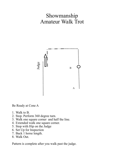# Showmanship Amateur Walk Trot



Be Ready at Cone A

- 1. Walk to B.
- 2. Stop. Perform 360 degree turn.
- 3. Walk one square corner and half the line.
- 4. Extended walk one square corner.
- 5. Stop with Hip on the Judge
- 6. Set Up for Inspection
- 7. Back 1 horse length.
- 8. Walk Out.

Pattern is complete after you walk past the judge.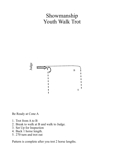#### Showmanship Youth Walk Trot



Be Ready at Cone A

- 1. Trot from A to B
- 2. Break to walk at B and walk to Judge.
- 3. Set Up for Inspection
- 4. Back 1 horse length.
- 5. 270 turn and trot out

Pattern is complete after you trot 2 horse lengths.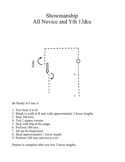# Showmanship All Novice and Yth 13&u



Be Ready at Cone A

- 1. Trot from A to B.
- 2. Break to walk at B and walk approximately 2 horse lengths
- 3. Stop 360 turn.
- 4. Trot 2 square corners
- 5. Stop with Hip at the judge.
- 6. Perform 180 turn.
- 7. Set up for Inspection
- 8. Back approximately 1 horse length
- 9. Perform 180 turn and trot to exit

Pattern is complete after you trot 2 horse lengths.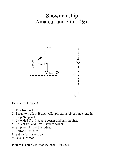# Showmanship Amateur and Yth 18&u



Be Ready at Cone A

- 1. Trot from A to B.
- 2. Break to walk at B and walk approximately 2 horse lengths
- 3. Stop 360 pivot.
- 4. Extended Trot 1 square corner and half the line.
- 5. Collect trot and Trot 1 square corner.
- 6. Stop with Hip at the judge.
- 7. Perform 180 turn.
- 8. Set up for Inspection
- 9. Back a corner.

Pattern is complete after the back. Trot out.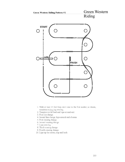

- 1. Walk at least 15 feet from start cone to the first marker, as drawn, transition to jog, jog over log.
- 2. Transition to left lead and lope around end.
- 3. First line change.
- 4. Second line change, lope around end of arena
- 5. First crossing change.
- 6. Second crossing change.
- 7. Lope over log.
- 8. Third crossing change.
- 9. Fourth crossing change.
- 10. Lope up the center, stop and back.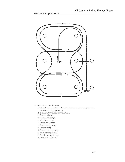

Recommended for small arenas.

- 1. Walk at least 15 feet from the start cone to the first marker, as drawn, transition to jog, jog over log.
- 2. Transition to the lope, on the left lead.
- 3. First line change.
- 4. Second line change.
- 5. Third line change.
- 6. Fourth line change.
- 7. First crossing change.
- 8. Lope over log.
- 9. Second crossing change.
- 10. Third crossing change.
- 11. Fourth crossing change.
- 12. Lope, stop and back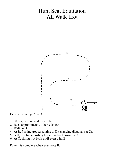# Hunt Seat Equitation All Walk Trot



Be Ready facing Cone A

- 1. 90 degree forehand turn to left
- 2. Back approximately 1 horse length.
- 3. Walk to B.
- 4. At B, Posting trot serpentine to D (changing diagonals at C).
- 5. A D, Continue posting trot curve back towards C.
- 6. At C, sitting trot back until even with B.

Pattern is complete when you cross B.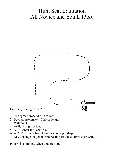# Hunt Seat Equitation All Novice and Youth 13&u



- 
- 1. 90 degree forehand turn to left
- 2. Back approximately 1 horse length.
- 3. Walk to B.
- 4. At B, sitting trot to C.
- 5. A C, Canter left lead to D.
- 6. A D, Trot curve back towards C on right diagonal.
- 7. At C, change diagonals and posting trot back until even with B.

Pattern is complete when you cross B.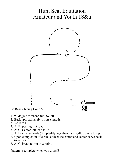# Hunt Seat Equitation Amateur and Youth 18&u



- 1. 90 degree forehand turn to left
- 2. Back approximately 1 horse length.
- 3. Walk to B.
- 4. At B, posting trot to C.
- 5. At C, Canter left lead to D.
- 6. At D, change leads (Simple/Flying), then hand gallop circle to right.
- 7. Upon completion of circle, collect the canter and canter curve back towards C.
- 8. At C, break to trot in 2 point.

Pattern is complete when you cross B.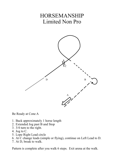# HORSEMANSHIP Limited Non Pro



Be Ready at Cone A

- 1. Back approximately 1 horse length
- 2. Extended Jog past B and Stop
- 3. 3/4 turn to the right.
- 4. Jog to C.
- 5. Lope Right Lead circle
- 6. At C change leads (simple or flying), continue on Left Lead to D.
- 7. At D, break to walk.

Pattern is complete after you walk 6 steps. Exit arena at the walk.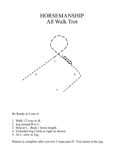# HORSEMANSHIP All Walk Trot



Be Ready at Cone A

- 1. Walk 1/2 way to B.
- 2. Jog around B to C.
- 3. Stop at C. Back 1 horse length.
- 4. Extended Jog Circle to right as shown.
- 5. At C, slow to Jog.

Pattern is complete after you trot 3 steps past D. Exit arena at the jog.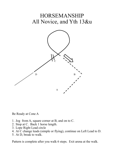# HORSEMANSHIP All Novice, and Yth 13&u



Be Ready at Cone A

- 1. Jog from A, square corner at B, and on to C.
- 2. Stop at C. Back 1 horse length.
- 3. Lope Right Lead circle
- 4. At C change leads (simple or flying), continue on Left Lead to D.
- 5. At D, break to walk.

Pattern is complete after you walk 6 steps. Exit arena at the walk.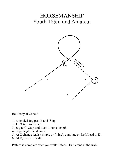# HORSEMANSHIP Youth 18&u and Amateur



Be Ready at Cone A

- 1. Extended Jog past B and Stop
- 2. 1 1/4 turn to the left.
- 3. Jog to C. Stop and Back 1 horse length.
- 4. Lope Right Lead circle
- 5. At C change leads (simple or flying), continue on Left Lead to D.
- 6. At D, break to walk.

Pattern is complete after you walk 6 steps. Exit arena at the walk.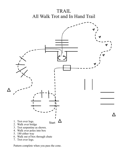#### TRAIL All Walk Trot and In Hand Trail



- 6. Walk out of box through chute
- 7. Trot over logs.

Pattern complete when you pass the cone.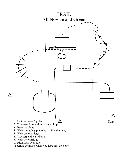

- 6. Trot serpentine as drawn
- 7. Walk Over Bridge
- 8. Right lead over poles.

Pattern is complete when you lope past the cone